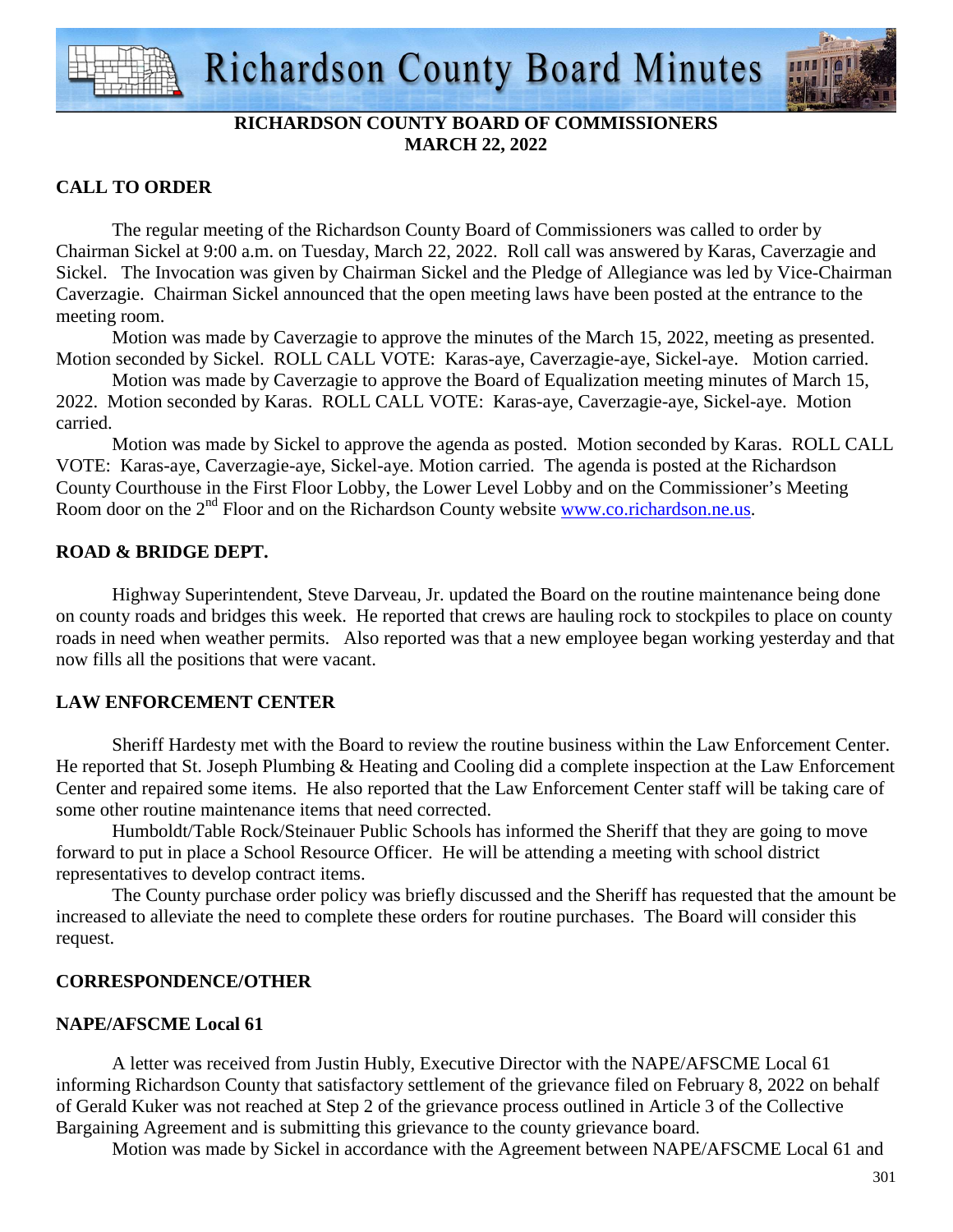

## **RICHARDSON COUNTY BOARD OF COMMISSIONERS MARCH 22, 2022**

## **CALL TO ORDER**

 The regular meeting of the Richardson County Board of Commissioners was called to order by Chairman Sickel at 9:00 a.m. on Tuesday, March 22, 2022. Roll call was answered by Karas, Caverzagie and Sickel. The Invocation was given by Chairman Sickel and the Pledge of Allegiance was led by Vice-Chairman Caverzagie. Chairman Sickel announced that the open meeting laws have been posted at the entrance to the meeting room.

 Motion was made by Caverzagie to approve the minutes of the March 15, 2022, meeting as presented. Motion seconded by Sickel. ROLL CALL VOTE: Karas-aye, Caverzagie-aye, Sickel-aye. Motion carried.

 Motion was made by Caverzagie to approve the Board of Equalization meeting minutes of March 15, 2022. Motion seconded by Karas. ROLL CALL VOTE: Karas-aye, Caverzagie-aye, Sickel-aye. Motion carried.

 Motion was made by Sickel to approve the agenda as posted. Motion seconded by Karas. ROLL CALL VOTE: Karas-aye, Caverzagie-aye, Sickel-aye. Motion carried. The agenda is posted at the Richardson County Courthouse in the First Floor Lobby, the Lower Level Lobby and on the Commissioner's Meeting Room door on the 2<sup>nd</sup> Floor and on the Richardson County website www.co.richardson.ne.us.

## **ROAD & BRIDGE DEPT.**

 Highway Superintendent, Steve Darveau, Jr. updated the Board on the routine maintenance being done on county roads and bridges this week. He reported that crews are hauling rock to stockpiles to place on county roads in need when weather permits. Also reported was that a new employee began working yesterday and that now fills all the positions that were vacant.

## **LAW ENFORCEMENT CENTER**

 Sheriff Hardesty met with the Board to review the routine business within the Law Enforcement Center. He reported that St. Joseph Plumbing & Heating and Cooling did a complete inspection at the Law Enforcement Center and repaired some items. He also reported that the Law Enforcement Center staff will be taking care of some other routine maintenance items that need corrected.

Humboldt/Table Rock/Steinauer Public Schools has informed the Sheriff that they are going to move forward to put in place a School Resource Officer. He will be attending a meeting with school district representatives to develop contract items.

The County purchase order policy was briefly discussed and the Sheriff has requested that the amount be increased to alleviate the need to complete these orders for routine purchases. The Board will consider this request.

## **CORRESPONDENCE/OTHER**

## **NAPE/AFSCME Local 61**

A letter was received from Justin Hubly, Executive Director with the NAPE/AFSCME Local 61 informing Richardson County that satisfactory settlement of the grievance filed on February 8, 2022 on behalf of Gerald Kuker was not reached at Step 2 of the grievance process outlined in Article 3 of the Collective Bargaining Agreement and is submitting this grievance to the county grievance board.

Motion was made by Sickel in accordance with the Agreement between NAPE/AFSCME Local 61 and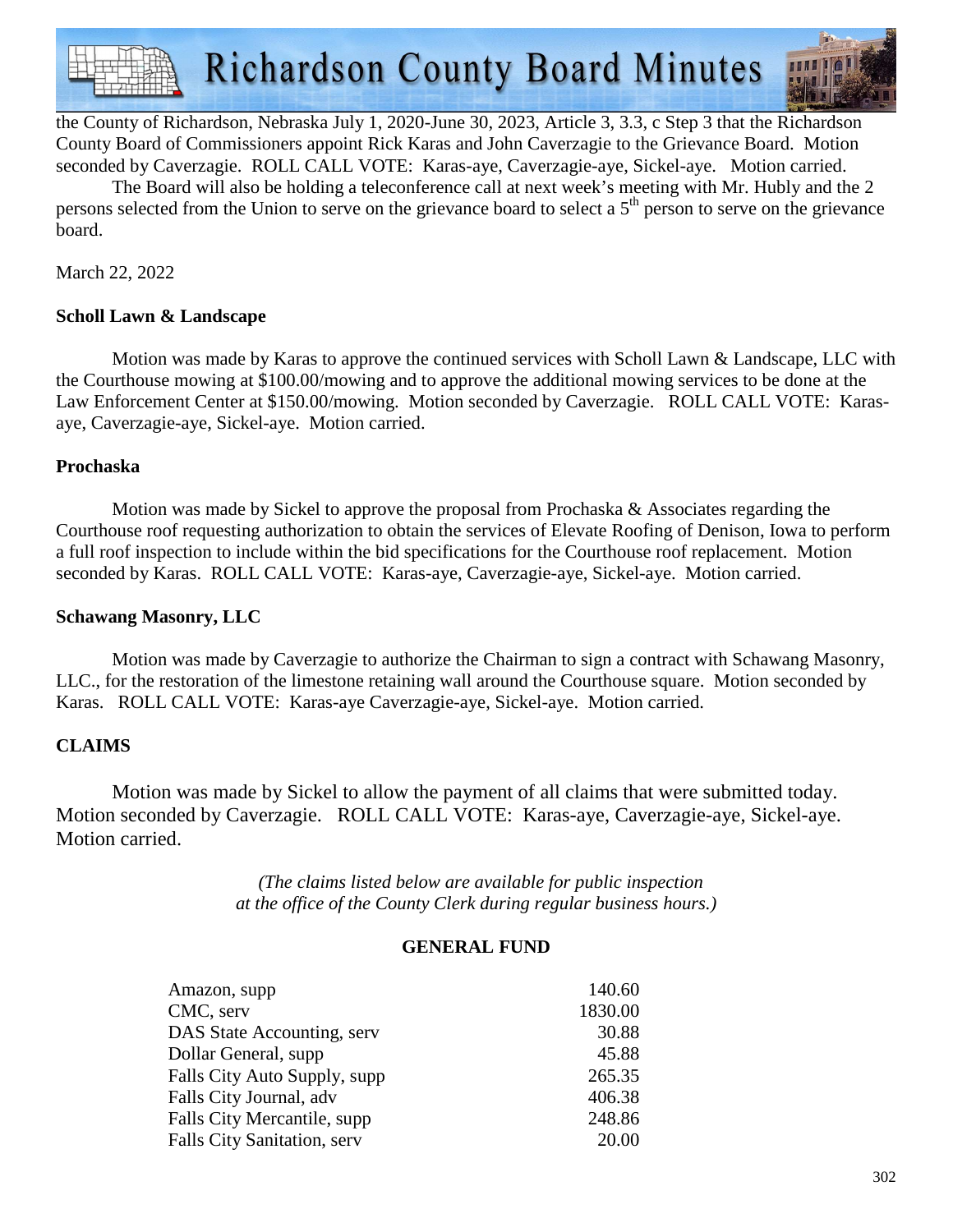**Richardson County Board Minutes** 



the County of Richardson, Nebraska July 1, 2020-June 30, 2023, Article 3, 3.3, c Step 3 that the Richardson County Board of Commissioners appoint Rick Karas and John Caverzagie to the Grievance Board. Motion seconded by Caverzagie. ROLL CALL VOTE: Karas-aye, Caverzagie-aye, Sickel-aye. Motion carried.

 The Board will also be holding a teleconference call at next week's meeting with Mr. Hubly and the 2 persons selected from the Union to serve on the grievance board to select a  $5<sup>th</sup>$  person to serve on the grievance board.

March 22, 2022

## **Scholl Lawn & Landscape**

 Motion was made by Karas to approve the continued services with Scholl Lawn & Landscape, LLC with the Courthouse mowing at \$100.00/mowing and to approve the additional mowing services to be done at the Law Enforcement Center at \$150.00/mowing. Motion seconded by Caverzagie. ROLL CALL VOTE: Karasaye, Caverzagie-aye, Sickel-aye. Motion carried.

## **Prochaska**

 Motion was made by Sickel to approve the proposal from Prochaska & Associates regarding the Courthouse roof requesting authorization to obtain the services of Elevate Roofing of Denison, Iowa to perform a full roof inspection to include within the bid specifications for the Courthouse roof replacement. Motion seconded by Karas. ROLL CALL VOTE: Karas-aye, Caverzagie-aye, Sickel-aye. Motion carried.

## **Schawang Masonry, LLC**

Motion was made by Caverzagie to authorize the Chairman to sign a contract with Schawang Masonry, LLC., for the restoration of the limestone retaining wall around the Courthouse square. Motion seconded by Karas. ROLL CALL VOTE: Karas-aye Caverzagie-aye, Sickel-aye. Motion carried.

## **CLAIMS**

 Motion was made by Sickel to allow the payment of all claims that were submitted today. Motion seconded by Caverzagie. ROLL CALL VOTE: Karas-aye, Caverzagie-aye, Sickel-aye. Motion carried.

> *(The claims listed below are available for public inspection at the office of the County Clerk during regular business hours.)*

## **GENERAL FUND**

| Amazon, supp                 | 140.60  |
|------------------------------|---------|
| CMC, serv                    | 1830.00 |
| DAS State Accounting, serv   | 30.88   |
| Dollar General, supp         | 45.88   |
| Falls City Auto Supply, supp | 265.35  |
| Falls City Journal, adv      | 406.38  |
| Falls City Mercantile, supp  | 248.86  |
| Falls City Sanitation, serv  | 20.00   |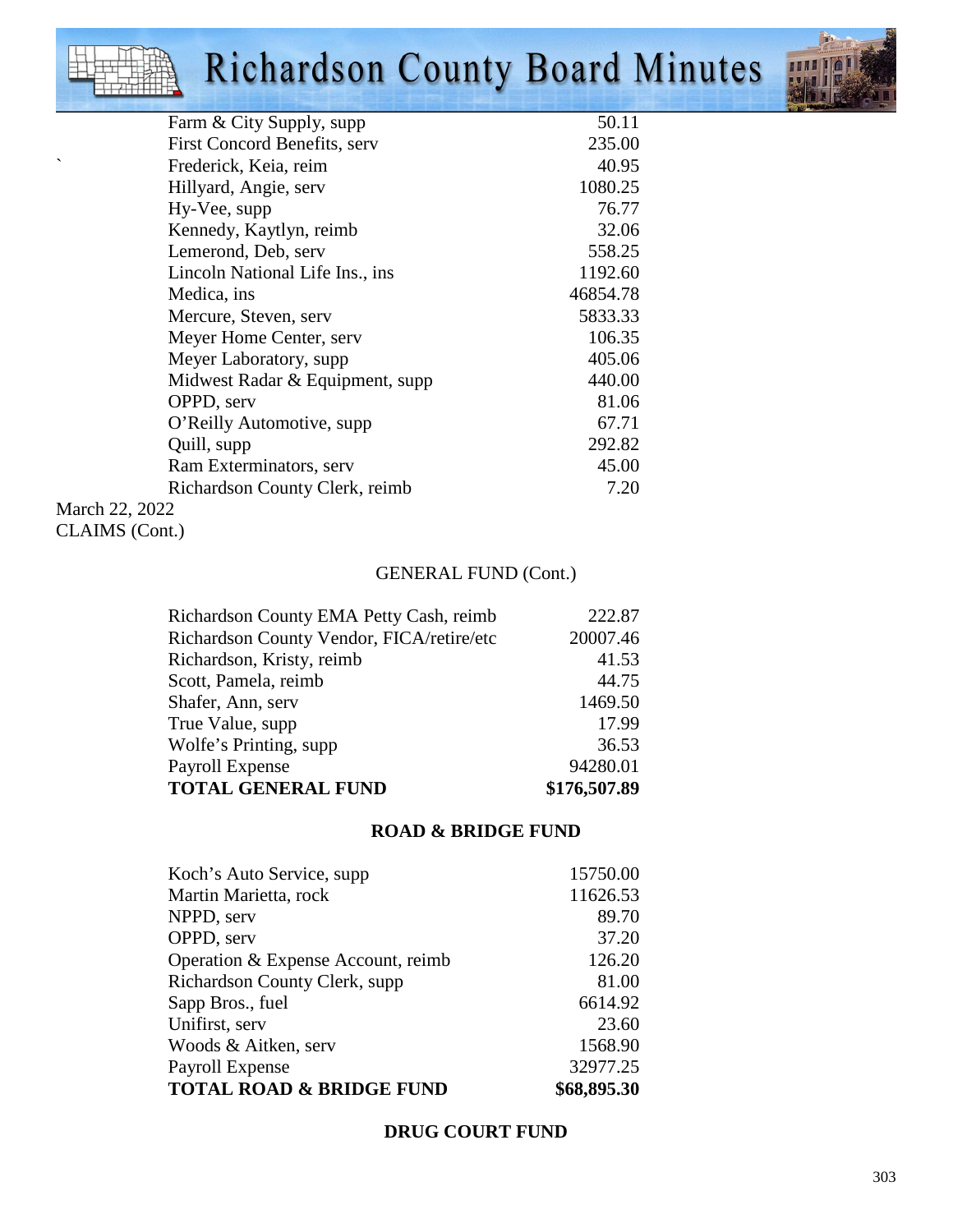# Richardson County Board Minutes



|                | Farm & City Supply, supp              | 50.11    |
|----------------|---------------------------------------|----------|
|                | <b>First Concord Benefits, served</b> | 235.00   |
|                | Frederick, Keia, reim                 | 40.95    |
|                | Hillyard, Angie, serv                 | 1080.25  |
|                | Hy-Vee, supp                          | 76.77    |
|                | Kennedy, Kaytlyn, reimb               | 32.06    |
|                | Lemerond, Deb, serv                   | 558.25   |
|                | Lincoln National Life Ins., ins       | 1192.60  |
|                | Medica, ins                           | 46854.78 |
|                | Mercure, Steven, serv                 | 5833.33  |
|                | Meyer Home Center, serv               | 106.35   |
|                | Meyer Laboratory, supp                | 405.06   |
|                | Midwest Radar & Equipment, supp       | 440.00   |
|                | OPPD, serv                            | 81.06    |
|                | O'Reilly Automotive, supp             | 67.71    |
|                | Quill, supp                           | 292.82   |
|                | Ram Exterminators, serv               | 45.00    |
|                | Richardson County Clerk, reimb        | 7.20     |
| March 22, 2022 |                                       |          |

March 22, 202 CLAIMS (Cont.)

## GENERAL FUND (Cont.)

| Richardson County EMA Petty Cash, reimb   | 222.87       |
|-------------------------------------------|--------------|
| Richardson County Vendor, FICA/retire/etc | 20007.46     |
| Richardson, Kristy, reimb                 | 41.53        |
| Scott, Pamela, reimb                      | 44.75        |
| Shafer, Ann, serv                         | 1469.50      |
| True Value, supp                          | 17.99        |
| Wolfe's Printing, supp                    | 36.53        |
| Payroll Expense                           | 94280.01     |
| <b>TOTAL GENERAL FUND</b>                 | \$176,507.89 |

## **ROAD & BRIDGE FUND**

| Koch's Auto Service, supp.          | 15750.00    |
|-------------------------------------|-------------|
| Martin Marietta, rock               | 11626.53    |
| NPPD, serv                          | 89.70       |
| OPPD, serv                          | 37.20       |
| Operation & Expense Account, reimb  | 126.20      |
| Richardson County Clerk, supp.      | 81.00       |
| Sapp Bros., fuel                    | 6614.92     |
| Unifirst, serv                      | 23.60       |
| Woods & Aitken, serv                | 1568.90     |
| Payroll Expense                     | 32977.25    |
| <b>TOTAL ROAD &amp; BRIDGE FUND</b> | \$68,895.30 |

## **DRUG COURT FUND**